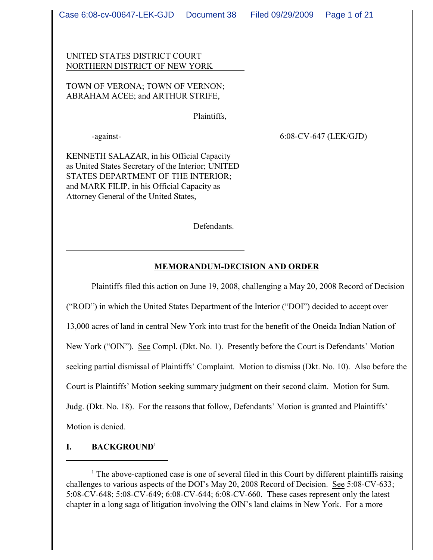## UNITED STATES DISTRICT COURT NORTHERN DISTRICT OF NEW YORK

## TOWN OF VERONA; TOWN OF VERNON; ABRAHAM ACEE; and ARTHUR STRIFE,

Plaintiffs,

-against- 6:08-CV-647 (LEK/GJD)

KENNETH SALAZAR, in his Official Capacity as United States Secretary of the Interior; UNITED STATES DEPARTMENT OF THE INTERIOR; and MARK FILIP, in his Official Capacity as Attorney General of the United States,

Defendants.

# **MEMORANDUM-DECISION AND ORDER**

Plaintiffs filed this action on June 19, 2008, challenging a May 20, 2008 Record of Decision ("ROD") in which the United States Department of the Interior ("DOI") decided to accept over 13,000 acres of land in central New York into trust for the benefit of the Oneida Indian Nation of New York ("OIN"). See Compl. (Dkt. No. 1). Presently before the Court is Defendants' Motion seeking partial dismissal of Plaintiffs' Complaint. Motion to dismiss (Dkt. No. 10). Also before the Court is Plaintiffs' Motion seeking summary judgment on their second claim. Motion for Sum. Judg. (Dkt. No. 18). For the reasons that follow, Defendants' Motion is granted and Plaintiffs' Motion is denied.

# **I. BACKGROUND**<sup>1</sup>

 $<sup>1</sup>$  The above-captioned case is one of several filed in this Court by different plaintiffs raising</sup> challenges to various aspects of the DOI's May 20, 2008 Record of Decision. See 5:08-CV-633; 5:08-CV-648; 5:08-CV-649; 6:08-CV-644; 6:08-CV-660. These cases represent only the latest chapter in a long saga of litigation involving the OIN's land claims in New York. For a more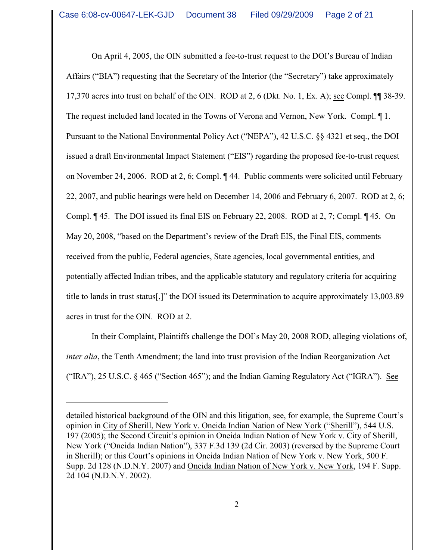On April 4, 2005, the OIN submitted a fee-to-trust request to the DOI's Bureau of Indian Affairs ("BIA") requesting that the Secretary of the Interior (the "Secretary") take approximately 17,370 acres into trust on behalf of the OIN. ROD at 2, 6 (Dkt. No. 1, Ex. A); see Compl. ¶¶ 38-39. The request included land located in the Towns of Verona and Vernon, New York. Compl. ¶ 1. Pursuant to the National Environmental Policy Act ("NEPA"), 42 U.S.C. §§ 4321 et seq., the DOI issued a draft Environmental Impact Statement ("EIS") regarding the proposed fee-to-trust request on November 24, 2006. ROD at 2, 6; Compl. ¶ 44. Public comments were solicited until February 22, 2007, and public hearings were held on December 14, 2006 and February 6, 2007. ROD at 2, 6; Compl. ¶ 45. The DOI issued its final EIS on February 22, 2008. ROD at 2, 7; Compl. ¶ 45. On May 20, 2008, "based on the Department's review of the Draft EIS, the Final EIS, comments received from the public, Federal agencies, State agencies, local governmental entities, and potentially affected Indian tribes, and the applicable statutory and regulatory criteria for acquiring title to lands in trust status[,]" the DOI issued its Determination to acquire approximately 13,003.89 acres in trust for the OIN. ROD at 2.

In their Complaint, Plaintiffs challenge the DOI's May 20, 2008 ROD, alleging violations of, *inter alia*, the Tenth Amendment; the land into trust provision of the Indian Reorganization Act ("IRA"), 25 U.S.C. § 465 ("Section 465"); and the Indian Gaming Regulatory Act ("IGRA"). See

detailed historical background of the OIN and this litigation, see, for example, the Supreme Court's opinion in City of Sherill, New York v. Oneida Indian Nation of New York ("Sherill"), 544 U.S. 197 (2005); the Second Circuit's opinion in Oneida Indian Nation of New York v. City of Sherill, New York ("Oneida Indian Nation"), 337 F.3d 139 (2d Cir. 2003) (reversed by the Supreme Court in Sherill); or this Court's opinions in Oneida Indian Nation of New York v. New York, 500 F. Supp. 2d 128 (N.D.N.Y. 2007) and Oneida Indian Nation of New York v. New York, 194 F. Supp. 2d 104 (N.D.N.Y. 2002).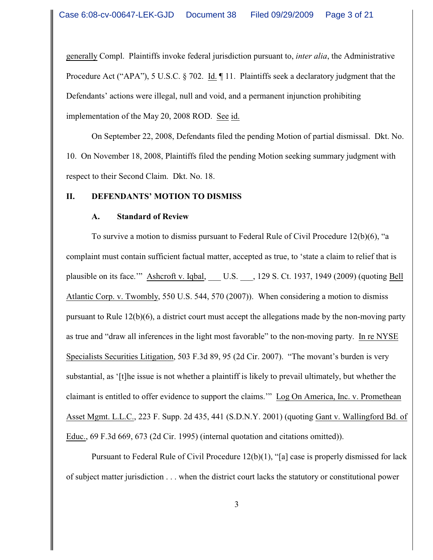generally Compl. Plaintiffs invoke federal jurisdiction pursuant to, *inter alia*, the Administrative Procedure Act ("APA"), 5 U.S.C.  $\S$  702. Id.  $\P$  11. Plaintiffs seek a declaratory judgment that the Defendants' actions were illegal, null and void, and a permanent injunction prohibiting implementation of the May 20, 2008 ROD. See id.

On September 22, 2008, Defendants filed the pending Motion of partial dismissal. Dkt. No. 10. On November 18, 2008, Plaintiffs filed the pending Motion seeking summary judgment with respect to their Second Claim. Dkt. No. 18.

#### **II. DEFENDANTS' MOTION TO DISMISS**

#### **A. Standard of Review**

To survive a motion to dismiss pursuant to Federal Rule of Civil Procedure 12(b)(6), "a complaint must contain sufficient factual matter, accepted as true, to 'state a claim to relief that is plausible on its face." Ashcroft v. Iqbal, U.S. , 129 S. Ct. 1937, 1949 (2009) (quoting Bell Atlantic Corp. v. Twombly, 550 U.S. 544, 570 (2007)). When considering a motion to dismiss pursuant to Rule 12(b)(6), a district court must accept the allegations made by the non-moving party as true and "draw all inferences in the light most favorable" to the non-moving party. In re NYSE Specialists Securities Litigation, 503 F.3d 89, 95 (2d Cir. 2007). "The movant's burden is very substantial, as '[t]he issue is not whether a plaintiff is likely to prevail ultimately, but whether the claimant is entitled to offer evidence to support the claims.'" Log On America, Inc. v. Promethean Asset Mgmt. L.L.C., 223 F. Supp. 2d 435, 441 (S.D.N.Y. 2001) (quoting Gant v. Wallingford Bd. of Educ., 69 F.3d 669, 673 (2d Cir. 1995) (internal quotation and citations omitted)).

Pursuant to Federal Rule of Civil Procedure 12(b)(1), "[a] case is properly dismissed for lack of subject matter jurisdiction . . . when the district court lacks the statutory or constitutional power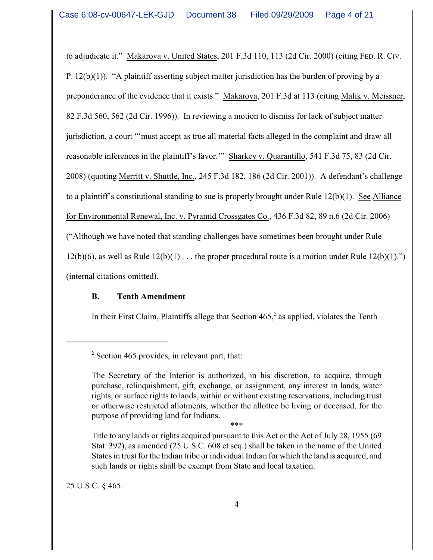to adjudicate it." Makarova v. United States, 201 F.3d 110, 113 (2d Cir. 2000) (citing FED. R. CIV. P.  $12(b)(1)$ . "A plaintiff asserting subject matter jurisdiction has the burden of proving by a preponderance of the evidence that it exists." Makarova, 201 F.3d at 113 (citing Malik v. Meissner, 82 F.3d 560, 562 (2d Cir. 1996)). In reviewing a motion to dismiss for lack of subject matter iurisdiction, a court "'must accept as true all material facts alleged in the complaint and draw all reasonable inferences in the plaintiff's favor.'" Sharkey v. Quarantillo, 541 F.3d 75, 83 (2d Cir. 2008) (quoting Merritt v. Shuttle, Inc., 245 F.3d 182, 186 (2d Cir. 2001)). A defendant's challenge to a plaintiff's constitutional standing to sue is properly brought under Rule 12(b)(1). See Alliance for Environmental Renewal, Inc. v. Pyramid Crossgates Co., 436 F.3d 82, 89 n.6 (2d Cir. 2006) ("Although we have noted that standing challenges have sometimes been brought under Rule 12(b)(6), as well as Rule  $12(b)(1)$ ... the proper procedural route is a motion under Rule  $12(b)(1)$ .") (internal citations omitted).

## **B. Tenth Amendment**

In their First Claim, Plaintiffs allege that Section  $465<sup>2</sup>$  as applied, violates the Tenth

\*\*\* Title to any lands or rights acquired pursuant to this Act or the Act of July 28, 1955 (69 Stat. 392), as amended (25 U.S.C. 608 et seq.) shall be taken in the name of the United States in trust for the Indian tribe or individual Indian for which the land is acquired, and such lands or rights shall be exempt from State and local taxation.

25 U.S.C. § 465.

 $\frac{1}{2}$  Section 465 provides, in relevant part, that:

The Secretary of the Interior is authorized, in his discretion, to acquire, through purchase, relinquishment, gift, exchange, or assignment, any interest in lands, water rights, or surface rights to lands, within or without existing reservations, including trust or otherwise restricted allotments, whether the allottee be living or deceased, for the purpose of providing land for Indians.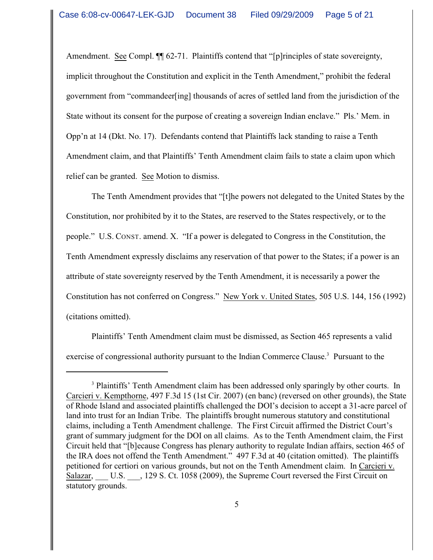Amendment. See Compl.  $\P$  62-71. Plaintiffs contend that "[p] rinciples of state sovereignty, implicit throughout the Constitution and explicit in the Tenth Amendment," prohibit the federal government from "commandeer[ing] thousands of acres of settled land from the jurisdiction of the State without its consent for the purpose of creating a sovereign Indian enclave." Pls.' Mem. in Opp'n at 14 (Dkt. No. 17). Defendants contend that Plaintiffs lack standing to raise a Tenth Amendment claim, and that Plaintiffs' Tenth Amendment claim fails to state a claim upon which relief can be granted. See Motion to dismiss.

The Tenth Amendment provides that "[t]he powers not delegated to the United States by the Constitution, nor prohibited by it to the States, are reserved to the States respectively, or to the people." U.S. CONST. amend. X. "If a power is delegated to Congress in the Constitution, the Tenth Amendment expressly disclaims any reservation of that power to the States; if a power is an attribute of state sovereignty reserved by the Tenth Amendment, it is necessarily a power the Constitution has not conferred on Congress." New York v. United States, 505 U.S. 144, 156 (1992) (citations omitted).

Plaintiffs' Tenth Amendment claim must be dismissed, as Section 465 represents a valid exercise of congressional authority pursuant to the Indian Commerce Clause.<sup>3</sup> Pursuant to the

<sup>&</sup>lt;sup>3</sup> Plaintiffs' Tenth Amendment claim has been addressed only sparingly by other courts. In Carcieri v. Kempthorne, 497 F.3d 15 (1st Cir. 2007) (en banc) (reversed on other grounds), the State of Rhode Island and associated plaintiffs challenged the DOI's decision to accept a 31-acre parcel of land into trust for an Indian Tribe. The plaintiffs brought numerous statutory and constitutional claims, including a Tenth Amendment challenge. The First Circuit affirmed the District Court's grant of summary judgment for the DOI on all claims. As to the Tenth Amendment claim, the First Circuit held that "[b]ecause Congress has plenary authority to regulate Indian affairs, section 465 of the IRA does not offend the Tenth Amendment." 497 F.3d at 40 (citation omitted). The plaintiffs petitioned for certiori on various grounds, but not on the Tenth Amendment claim. In Carcieri v. Salazar, U.S.  $\ldots$ , 129 S. Ct. 1058 (2009), the Supreme Court reversed the First Circuit on statutory grounds.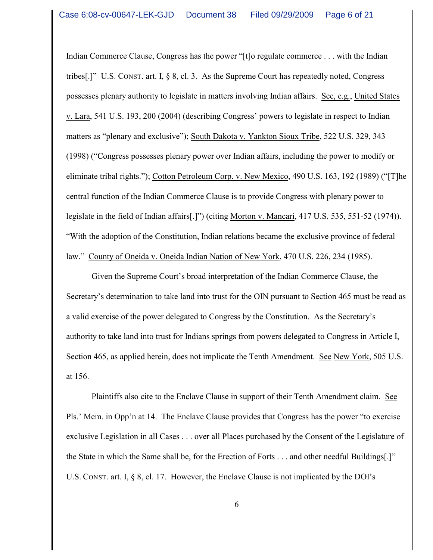Indian Commerce Clause, Congress has the power "[t]o regulate commerce . . . with the Indian tribes[.]" U.S. CONST. art. I,  $\S$  8, cl. 3. As the Supreme Court has repeatedly noted, Congress possesses plenary authority to legislate in matters involving Indian affairs. See, e.g., United States v. Lara, 541 U.S. 193, 200 (2004) (describing Congress' powers to legislate in respect to Indian matters as "plenary and exclusive"); South Dakota v. Yankton Sioux Tribe, 522 U.S. 329, 343 (1998) ("Congress possesses plenary power over Indian affairs, including the power to modify or eliminate tribal rights."); Cotton Petroleum Corp. v. New Mexico, 490 U.S. 163, 192 (1989) ("[T]he central function of the Indian Commerce Clause is to provide Congress with plenary power to legislate in the field of Indian affairs[.]") (citing Morton v. Mancari, 417 U.S. 535, 551-52 (1974)). "With the adoption of the Constitution, Indian relations became the exclusive province of federal law." County of Oneida v. Oneida Indian Nation of New York, 470 U.S. 226, 234 (1985).

Given the Supreme Court's broad interpretation of the Indian Commerce Clause, the Secretary's determination to take land into trust for the OIN pursuant to Section 465 must be read as a valid exercise of the power delegated to Congress by the Constitution. As the Secretary's authority to take land into trust for Indians springs from powers delegated to Congress in Article I, Section 465, as applied herein, does not implicate the Tenth Amendment. See New York, 505 U.S. at 156.

Plaintiffs also cite to the Enclave Clause in support of their Tenth Amendment claim. See Pls.' Mem. in Opp'n at 14. The Enclave Clause provides that Congress has the power "to exercise exclusive Legislation in all Cases . . . over all Places purchased by the Consent of the Legislature of the State in which the Same shall be, for the Erection of Forts . . . and other needful Buildings[.]" U.S. CONST. art. I, § 8, cl. 17. However, the Enclave Clause is not implicated by the DOI's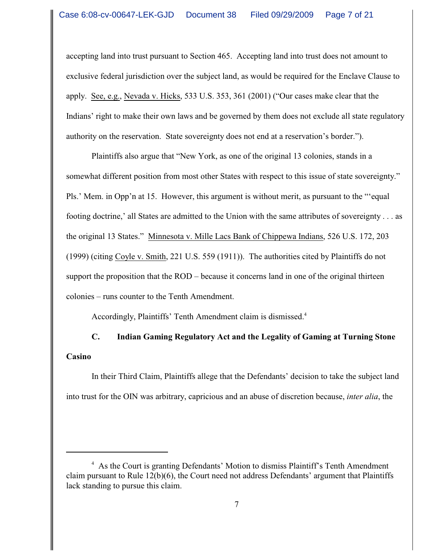accepting land into trust pursuant to Section 465. Accepting land into trust does not amount to exclusive federal jurisdiction over the subject land, as would be required for the Enclave Clause to apply. See, e.g., Nevada v. Hicks, 533 U.S. 353, 361 (2001) ("Our cases make clear that the Indians' right to make their own laws and be governed by them does not exclude all state regulatory authority on the reservation. State sovereignty does not end at a reservation's border.").

Plaintiffs also argue that "New York, as one of the original 13 colonies, stands in a somewhat different position from most other States with respect to this issue of state sovereignty." Pls.' Mem. in Opp'n at 15. However, this argument is without merit, as pursuant to the "'equal footing doctrine,' all States are admitted to the Union with the same attributes of sovereignty . . . as the original 13 States." Minnesota v. Mille Lacs Bank of Chippewa Indians, 526 U.S. 172, 203 (1999) (citing Coyle v. Smith, 221 U.S. 559 (1911)). The authorities cited by Plaintiffs do not support the proposition that the ROD – because it concerns land in one of the original thirteen colonies – runs counter to the Tenth Amendment.

Accordingly, Plaintiffs' Tenth Amendment claim is dismissed.<sup>4</sup>

# **C. Indian Gaming Regulatory Act and the Legality of Gaming at Turning Stone Casino**

In their Third Claim, Plaintiffs allege that the Defendants' decision to take the subject land into trust for the OIN was arbitrary, capricious and an abuse of discretion because, *inter alia*, the

<sup>&</sup>lt;sup>4</sup> As the Court is granting Defendants' Motion to dismiss Plaintiff's Tenth Amendment claim pursuant to Rule 12(b)(6), the Court need not address Defendants' argument that Plaintiffs lack standing to pursue this claim.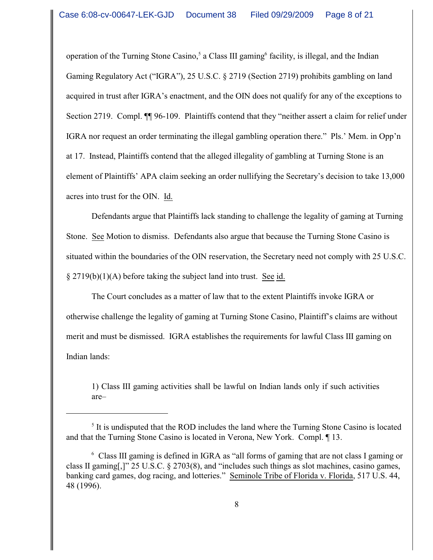operation of the Turning Stone Casino,<sup>5</sup> a Class III gaming<sup> $6$ </sup> facility, is illegal, and the Indian Gaming Regulatory Act ("IGRA"), 25 U.S.C. § 2719 (Section 2719) prohibits gambling on land acquired in trust after IGRA's enactment, and the OIN does not qualify for any of the exceptions to Section 2719. Compl.  $\P$  96-109. Plaintiffs contend that they "neither assert a claim for relief under IGRA nor request an order terminating the illegal gambling operation there." Pls.' Mem. in Opp'n at 17. Instead, Plaintiffs contend that the alleged illegality of gambling at Turning Stone is an element of Plaintiffs' APA claim seeking an order nullifying the Secretary's decision to take 13,000 acres into trust for the OIN. Id.

Defendants argue that Plaintiffs lack standing to challenge the legality of gaming at Turning Stone. See Motion to dismiss. Defendants also argue that because the Turning Stone Casino is situated within the boundaries of the OIN reservation, the Secretary need not comply with 25 U.S.C. § 2719(b)(1)(A) before taking the subject land into trust. See id.

The Court concludes as a matter of law that to the extent Plaintiffs invoke IGRA or otherwise challenge the legality of gaming at Turning Stone Casino, Plaintiff's claims are without merit and must be dismissed. IGRA establishes the requirements for lawful Class III gaming on Indian lands:

1) Class III gaming activities shall be lawful on Indian lands only if such activities are–

 $<sup>5</sup>$  It is undisputed that the ROD includes the land where the Turning Stone Casino is located</sup> and that the Turning Stone Casino is located in Verona, New York. Compl. ¶ 13.

<sup>&</sup>lt;sup>6</sup> Class III gaming is defined in IGRA as "all forms of gaming that are not class I gaming or class II gaming[,]" 25 U.S.C. § 2703(8), and "includes such things as slot machines, casino games, banking card games, dog racing, and lotteries." Seminole Tribe of Florida v. Florida, 517 U.S. 44, 48 (1996).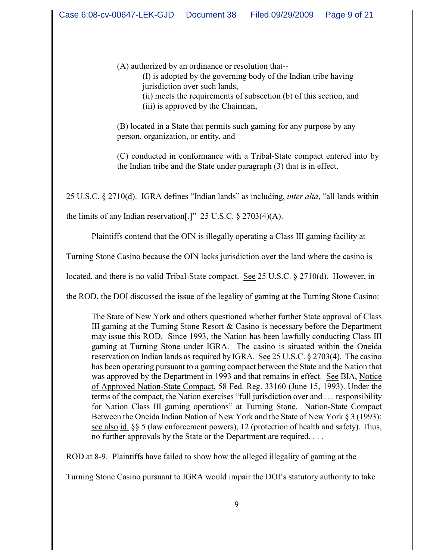(A) authorized by an ordinance or resolution that--

(I) is adopted by the governing body of the Indian tribe having jurisdiction over such lands,

(ii) meets the requirements of subsection (b) of this section, and (iii) is approved by the Chairman,

(B) located in a State that permits such gaming for any purpose by any person, organization, or entity, and

(C) conducted in conformance with a Tribal-State compact entered into by the Indian tribe and the State under paragraph (3) that is in effect.

25 U.S.C. § 2710(d). IGRA defines "Indian lands" as including, *inter alia*, "all lands within

the limits of any Indian reservation.]" 25 U.S.C.  $\S 2703(4)(A)$ .

Plaintiffs contend that the OIN is illegally operating a Class III gaming facility at

Turning Stone Casino because the OIN lacks jurisdiction over the land where the casino is

located, and there is no valid Tribal-State compact. See 25 U.S.C. § 2710(d). However, in

the ROD, the DOI discussed the issue of the legality of gaming at the Turning Stone Casino:

The State of New York and others questioned whether further State approval of Class III gaming at the Turning Stone Resort  $& Casino$  is necessary before the Department may issue this ROD. Since 1993, the Nation has been lawfully conducting Class III gaming at Turning Stone under IGRA. The casino is situated within the Oneida reservation on Indian lands as required by IGRA. See 25 U.S.C. § 2703(4). The casino has been operating pursuant to a gaming compact between the State and the Nation that was approved by the Department in 1993 and that remains in effect. See BIA, Notice of Approved Nation-State Compact, 58 Fed. Reg. 33160 (June 15, 1993). Under the terms of the compact, the Nation exercises "full jurisdiction over and . . . responsibility for Nation Class III gaming operations" at Turning Stone. Nation-State Compact Between the Oneida Indian Nation of New York and the State of New York § 3 (1993); see also id. §§ 5 (law enforcement powers), 12 (protection of health and safety). Thus, no further approvals by the State or the Department are required. . . .

ROD at 8-9. Plaintiffs have failed to show how the alleged illegality of gaming at the

Turning Stone Casino pursuant to IGRA would impair the DOI's statutory authority to take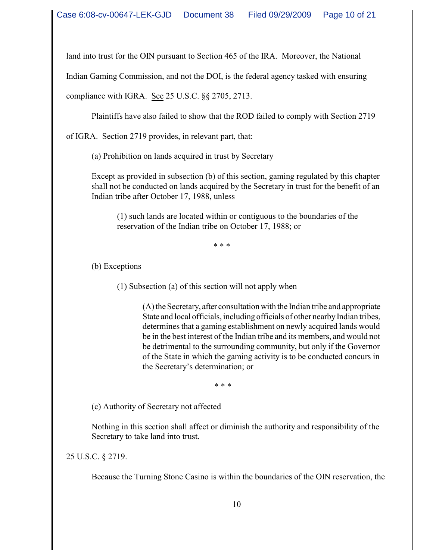land into trust for the OIN pursuant to Section 465 of the IRA. Moreover, the National

Indian Gaming Commission, and not the DOI, is the federal agency tasked with ensuring

compliance with IGRA. See 25 U.S.C. §§ 2705, 2713.

Plaintiffs have also failed to show that the ROD failed to comply with Section 2719

of IGRA. Section 2719 provides, in relevant part, that:

(a) Prohibition on lands acquired in trust by Secretary

Except as provided in subsection (b) of this section, gaming regulated by this chapter shall not be conducted on lands acquired by the Secretary in trust for the benefit of an Indian tribe after October 17, 1988, unless–

(1) such lands are located within or contiguous to the boundaries of the reservation of the Indian tribe on October 17, 1988; or

\* \* \*

(b) Exceptions

(1) Subsection (a) of this section will not apply when–

(A) the Secretary, after consultation with the Indian tribe and appropriate State and local officials, including officials of other nearby Indian tribes, determines that a gaming establishment on newly acquired lands would be in the best interest of the Indian tribe and its members, and would not be detrimental to the surrounding community, but only if the Governor of the State in which the gaming activity is to be conducted concurs in the Secretary's determination; or

\* \* \*

(c) Authority of Secretary not affected

Nothing in this section shall affect or diminish the authority and responsibility of the Secretary to take land into trust.

25 U.S.C. § 2719.

Because the Turning Stone Casino is within the boundaries of the OIN reservation, the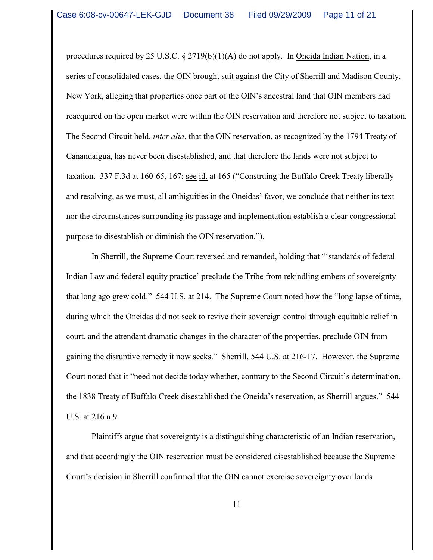procedures required by 25 U.S.C. § 2719(b)(1)(A) do not apply. In Oneida Indian Nation, in a series of consolidated cases, the OIN brought suit against the City of Sherrill and Madison County, New York, alleging that properties once part of the OIN's ancestral land that OIN members had reacquired on the open market were within the OIN reservation and therefore not subject to taxation. The Second Circuit held, *inter alia*, that the OIN reservation, as recognized by the 1794 Treaty of Canandaigua, has never been disestablished, and that therefore the lands were not subject to taxation. 337 F.3d at 160-65, 167; see id. at 165 ("Construing the Buffalo Creek Treaty liberally and resolving, as we must, all ambiguities in the Oneidas' favor, we conclude that neither its text nor the circumstances surrounding its passage and implementation establish a clear congressional purpose to disestablish or diminish the OIN reservation.").

In Sherrill, the Supreme Court reversed and remanded, holding that "'standards of federal Indian Law and federal equity practice' preclude the Tribe from rekindling embers of sovereignty that long ago grew cold." 544 U.S. at 214. The Supreme Court noted how the "long lapse of time, during which the Oneidas did not seek to revive their sovereign control through equitable relief in court, and the attendant dramatic changes in the character of the properties, preclude OIN from gaining the disruptive remedy it now seeks." Sherrill, 544 U.S. at 216-17. However, the Supreme Court noted that it "need not decide today whether, contrary to the Second Circuit's determination, the 1838 Treaty of Buffalo Creek disestablished the Oneida's reservation, as Sherrill argues." 544 U.S. at 216 n.9.

Plaintiffs argue that sovereignty is a distinguishing characteristic of an Indian reservation, and that accordingly the OIN reservation must be considered disestablished because the Supreme Court's decision in Sherrill confirmed that the OIN cannot exercise sovereignty over lands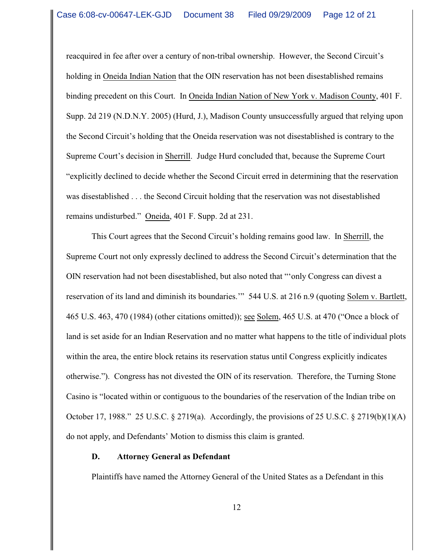reacquired in fee after over a century of non-tribal ownership. However, the Second Circuit's holding in Oneida Indian Nation that the OIN reservation has not been disestablished remains binding precedent on this Court. In Oneida Indian Nation of New York v. Madison County, 401 F. Supp. 2d 219 (N.D.N.Y. 2005) (Hurd, J.), Madison County unsuccessfully argued that relying upon the Second Circuit's holding that the Oneida reservation was not disestablished is contrary to the Supreme Court's decision in Sherrill. Judge Hurd concluded that, because the Supreme Court "explicitly declined to decide whether the Second Circuit erred in determining that the reservation was disestablished . . . the Second Circuit holding that the reservation was not disestablished remains undisturbed." Oneida, 401 F. Supp. 2d at 231.

This Court agrees that the Second Circuit's holding remains good law. In Sherrill, the Supreme Court not only expressly declined to address the Second Circuit's determination that the OIN reservation had not been disestablished, but also noted that "'only Congress can divest a reservation of its land and diminish its boundaries.'" 544 U.S. at 216 n.9 (quoting Solem v. Bartlett, 465 U.S. 463, 470 (1984) (other citations omitted)); see Solem, 465 U.S. at 470 ("Once a block of land is set aside for an Indian Reservation and no matter what happens to the title of individual plots within the area, the entire block retains its reservation status until Congress explicitly indicates otherwise."). Congress has not divested the OIN of its reservation. Therefore, the Turning Stone Casino is "located within or contiguous to the boundaries of the reservation of the Indian tribe on October 17, 1988." 25 U.S.C. § 2719(a). Accordingly, the provisions of 25 U.S.C. § 2719(b)(1)(A) do not apply, and Defendants' Motion to dismiss this claim is granted.

#### **D. Attorney General as Defendant**

Plaintiffs have named the Attorney General of the United States as a Defendant in this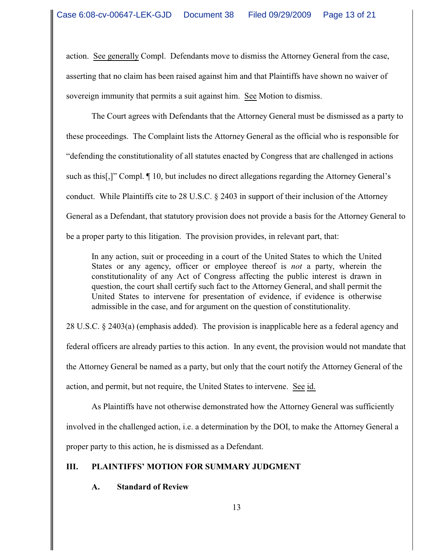action. See generally Compl. Defendants move to dismiss the Attorney General from the case, asserting that no claim has been raised against him and that Plaintiffs have shown no waiver of sovereign immunity that permits a suit against him. See Motion to dismiss.

The Court agrees with Defendants that the Attorney General must be dismissed as a party to these proceedings. The Complaint lists the Attorney General as the official who is responsible for "defending the constitutionality of all statutes enacted by Congress that are challenged in actions such as this[,]" Compl. ¶ 10, but includes no direct allegations regarding the Attorney General's conduct. While Plaintiffs cite to 28 U.S.C. § 2403 in support of their inclusion of the Attorney General as a Defendant, that statutory provision does not provide a basis for the Attorney General to be a proper party to this litigation. The provision provides, in relevant part, that:

In any action, suit or proceeding in a court of the United States to which the United States or any agency, officer or employee thereof is *not* a party, wherein the constitutionality of any Act of Congress affecting the public interest is drawn in question, the court shall certify such fact to the Attorney General, and shall permit the United States to intervene for presentation of evidence, if evidence is otherwise admissible in the case, and for argument on the question of constitutionality.

28 U.S.C. § 2403(a) (emphasis added). The provision is inapplicable here as a federal agency and federal officers are already parties to this action. In any event, the provision would not mandate that the Attorney General be named as a party, but only that the court notify the Attorney General of the action, and permit, but not require, the United States to intervene. See id.

As Plaintiffs have not otherwise demonstrated how the Attorney General was sufficiently involved in the challenged action, i.e. a determination by the DOI, to make the Attorney General a proper party to this action, he is dismissed as a Defendant.

# **III. PLAINTIFFS' MOTION FOR SUMMARY JUDGMENT**

**A. Standard of Review**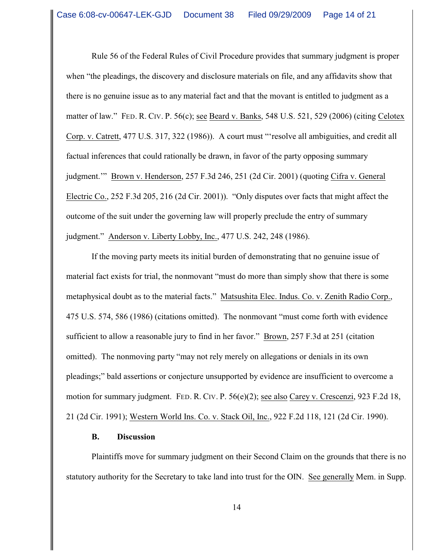Rule 56 of the Federal Rules of Civil Procedure provides that summary judgment is proper when "the pleadings, the discovery and disclosure materials on file, and any affidavits show that there is no genuine issue as to any material fact and that the movant is entitled to judgment as a matter of law." FED. R. CIV. P. 56(c); see Beard v. Banks, 548 U.S. 521, 529 (2006) (citing Celotex Corp. v. Catrett, 477 U.S. 317, 322 (1986)). A court must "'resolve all ambiguities, and credit all factual inferences that could rationally be drawn, in favor of the party opposing summary judgment.'" Brown v. Henderson, 257 F.3d 246, 251 (2d Cir. 2001) (quoting Cifra v. General Electric Co., 252 F.3d 205, 216 (2d Cir. 2001)). "Only disputes over facts that might affect the outcome of the suit under the governing law will properly preclude the entry of summary judgment." Anderson v. Liberty Lobby, Inc., 477 U.S. 242, 248 (1986).

If the moving party meets its initial burden of demonstrating that no genuine issue of material fact exists for trial, the nonmovant "must do more than simply show that there is some metaphysical doubt as to the material facts." Matsushita Elec. Indus. Co. v. Zenith Radio Corp., 475 U.S. 574, 586 (1986) (citations omitted). The nonmovant "must come forth with evidence sufficient to allow a reasonable jury to find in her favor." Brown, 257 F.3d at 251 (citation omitted). The nonmoving party "may not rely merely on allegations or denials in its own pleadings;" bald assertions or conjecture unsupported by evidence are insufficient to overcome a motion for summary judgment. FED. R. CIV. P. 56(e)(2); see also Carey v. Crescenzi, 923 F.2d 18, 21 (2d Cir. 1991); Western World Ins. Co. v. Stack Oil, Inc., 922 F.2d 118, 121 (2d Cir. 1990).

#### **B. Discussion**

Plaintiffs move for summary judgment on their Second Claim on the grounds that there is no statutory authority for the Secretary to take land into trust for the OIN. See generally Mem. in Supp.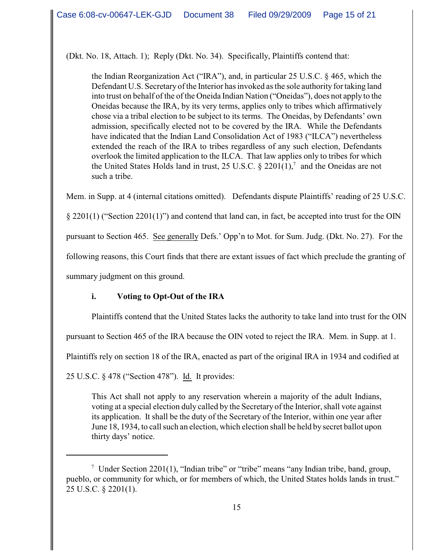(Dkt. No. 18, Attach. 1); Reply (Dkt. No. 34). Specifically, Plaintiffs contend that:

the Indian Reorganization Act ("IRA"), and, in particular 25 U.S.C. § 465, which the Defendant U.S. Secretary of the Interior has invoked as the sole authority for taking land into trust on behalf of the of the Oneida Indian Nation ("Oneidas"), does not apply to the Oneidas because the IRA, by its very terms, applies only to tribes which affirmatively chose via a tribal election to be subject to its terms. The Oneidas, by Defendants' own admission, specifically elected not to be covered by the IRA. While the Defendants have indicated that the Indian Land Consolidation Act of 1983 ("ILCA") nevertheless extended the reach of the IRA to tribes regardless of any such election, Defendants overlook the limited application to the ILCA. That law applies only to tribes for which the United States Holds land in trust, 25 U.S.C.  $\S$  2201(1),<sup>7</sup> and the Oneidas are not such a tribe.

Mem. in Supp. at 4 (internal citations omitted). Defendants dispute Plaintiffs' reading of 25 U.S.C.

§ 2201(1) ("Section 2201(1)") and contend that land can, in fact, be accepted into trust for the OIN

pursuant to Section 465. See generally Defs.' Opp'n to Mot. for Sum. Judg. (Dkt. No. 27). For the

following reasons, this Court finds that there are extant issues of fact which preclude the granting of

summary judgment on this ground.

# **i. Voting to Opt-Out of the IRA**

Plaintiffs contend that the United States lacks the authority to take land into trust for the OIN

pursuant to Section 465 of the IRA because the OIN voted to reject the IRA. Mem. in Supp. at 1.

Plaintiffs rely on section 18 of the IRA, enacted as part of the original IRA in 1934 and codified at

25 U.S.C. § 478 ("Section 478"). Id. It provides:

This Act shall not apply to any reservation wherein a majority of the adult Indians, voting at a special election duly called by the Secretary of the Interior, shall vote against its application. It shall be the duty of the Secretary of the Interior, within one year after June 18, 1934, to call such an election, which election shall be held by secret ballot upon thirty days' notice.

<sup>&</sup>lt;sup>7</sup> Under Section 2201(1), "Indian tribe" or "tribe" means "any Indian tribe, band, group, pueblo, or community for which, or for members of which, the United States holds lands in trust." 25 U.S.C. § 2201(1).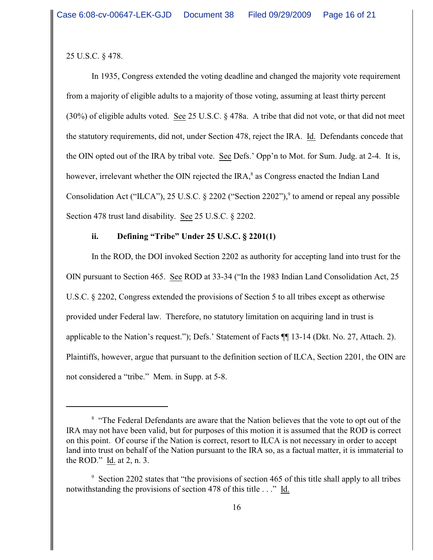25 U.S.C. § 478.

In 1935, Congress extended the voting deadline and changed the majority vote requirement from a majority of eligible adults to a majority of those voting, assuming at least thirty percent (30%) of eligible adults voted. See 25 U.S.C. § 478a. A tribe that did not vote, or that did not meet the statutory requirements, did not, under Section 478, reject the IRA. Id. Defendants concede that the OIN opted out of the IRA by tribal vote. See Defs.' Opp'n to Mot. for Sum. Judg. at 2-4. It is, however, irrelevant whether the OIN rejected the IRA, $\alpha$  as Congress enacted the Indian Land Consolidation Act ("ILCA"), 25 U.S.C.  $\S$  2202 ("Section 2202"),<sup>9</sup> to amend or repeal any possible Section 478 trust land disability. See 25 U.S.C. § 2202.

#### **ii. Defining "Tribe" Under 25 U.S.C. § 2201(1)**

In the ROD, the DOI invoked Section 2202 as authority for accepting land into trust for the OIN pursuant to Section 465. See ROD at 33-34 ("In the 1983 Indian Land Consolidation Act, 25 U.S.C. § 2202, Congress extended the provisions of Section 5 to all tribes except as otherwise provided under Federal law. Therefore, no statutory limitation on acquiring land in trust is applicable to the Nation's request."); Defs.' Statement of Facts ¶¶ 13-14 (Dkt. No. 27, Attach. 2). Plaintiffs, however, argue that pursuant to the definition section of ILCA, Section 2201, the OIN are not considered a "tribe." Mem. in Supp. at 5-8.

<sup>&</sup>lt;sup>8</sup> "The Federal Defendants are aware that the Nation believes that the vote to opt out of the IRA may not have been valid, but for purposes of this motion it is assumed that the ROD is correct on this point. Of course if the Nation is correct, resort to ILCA is not necessary in order to accept land into trust on behalf of the Nation pursuant to the IRA so, as a factual matter, it is immaterial to the ROD." Id. at 2, n. 3.

 $\degree$  Section 2202 states that "the provisions of section 465 of this title shall apply to all tribes notwithstanding the provisions of section 478 of this title . . ." Id.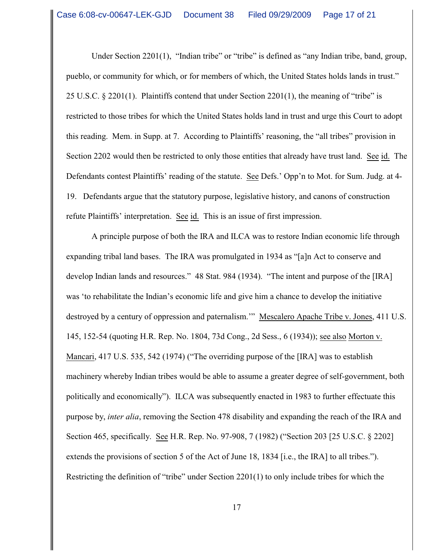Under Section 2201(1), "Indian tribe" or "tribe" is defined as "any Indian tribe, band, group, pueblo, or community for which, or for members of which, the United States holds lands in trust." 25 U.S.C.  $\S 2201(1)$ . Plaintiffs contend that under Section 2201(1), the meaning of "tribe" is restricted to those tribes for which the United States holds land in trust and urge this Court to adopt this reading. Mem. in Supp. at 7. According to Plaintiffs' reasoning, the "all tribes" provision in Section 2202 would then be restricted to only those entities that already have trust land. See id. The Defendants contest Plaintiffs' reading of the statute. See Defs.' Opp'n to Mot. for Sum. Judg. at 4- 19. Defendants argue that the statutory purpose, legislative history, and canons of construction refute Plaintiffs' interpretation. See id. This is an issue of first impression.

A principle purpose of both the IRA and ILCA was to restore Indian economic life through expanding tribal land bases. The IRA was promulgated in 1934 as "[a]n Act to conserve and develop Indian lands and resources." 48 Stat. 984 (1934). "The intent and purpose of the [IRA] was 'to rehabilitate the Indian's economic life and give him a chance to develop the initiative destroyed by a century of oppression and paternalism.'" Mescalero Apache Tribe v. Jones, 411 U.S. 145, 152-54 (quoting H.R. Rep. No. 1804, 73d Cong., 2d Sess., 6 (1934)); see also Morton v. Mancari, 417 U.S. 535, 542 (1974) ("The overriding purpose of the [IRA] was to establish machinery whereby Indian tribes would be able to assume a greater degree of self-government, both politically and economically"). ILCA was subsequently enacted in 1983 to further effectuate this purpose by, *inter alia*, removing the Section 478 disability and expanding the reach of the IRA and Section 465, specifically. See H.R. Rep. No. 97-908, 7 (1982) ("Section 203 [25 U.S.C. § 2202] extends the provisions of section 5 of the Act of June 18, 1834 [i.e., the IRA] to all tribes."). Restricting the definition of "tribe" under Section 2201(1) to only include tribes for which the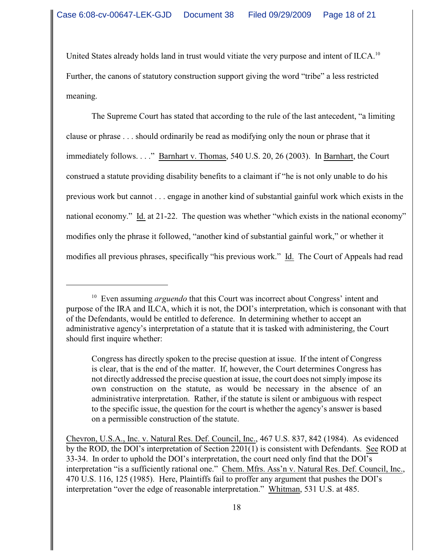United States already holds land in trust would vitiate the very purpose and intent of  $ILCA$ <sup>10</sup> Further, the canons of statutory construction support giving the word "tribe" a less restricted meaning.

The Supreme Court has stated that according to the rule of the last antecedent, "a limiting clause or phrase . . . should ordinarily be read as modifying only the noun or phrase that it immediately follows. . . ." Barnhart v. Thomas, 540 U.S. 20, 26 (2003). In Barnhart, the Court construed a statute providing disability benefits to a claimant if "he is not only unable to do his previous work but cannot . . . engage in another kind of substantial gainful work which exists in the national economy." Id. at 21-22. The question was whether "which exists in the national economy" modifies only the phrase it followed, "another kind of substantial gainful work," or whether it modifies all previous phrases, specifically "his previous work." Id. The Court of Appeals had read

<sup>&</sup>lt;sup>10</sup> Even assuming *arguendo* that this Court was incorrect about Congress' intent and purpose of the IRA and ILCA, which it is not, the DOI's interpretation, which is consonant with that of the Defendants, would be entitled to deference. In determining whether to accept an administrative agency's interpretation of a statute that it is tasked with administering, the Court should first inquire whether:

Congress has directly spoken to the precise question at issue. If the intent of Congress is clear, that is the end of the matter. If, however, the Court determines Congress has not directly addressed the precise question at issue, the court does not simply impose its own construction on the statute, as would be necessary in the absence of an administrative interpretation. Rather, if the statute is silent or ambiguous with respect to the specific issue, the question for the court is whether the agency's answer is based on a permissible construction of the statute.

Chevron, U.S.A., Inc. v. Natural Res. Def. Council, Inc., 467 U.S. 837, 842 (1984). As evidenced by the ROD, the DOI's interpretation of Section 2201(1) is consistent with Defendants. See ROD at 33-34. In order to uphold the DOI's interpretation, the court need only find that the DOI's interpretation "is a sufficiently rational one." Chem. Mfrs. Ass'n v. Natural Res. Def. Council, Inc., 470 U.S. 116, 125 (1985). Here, Plaintiffs fail to proffer any argument that pushes the DOI's interpretation "over the edge of reasonable interpretation." Whitman, 531 U.S. at 485.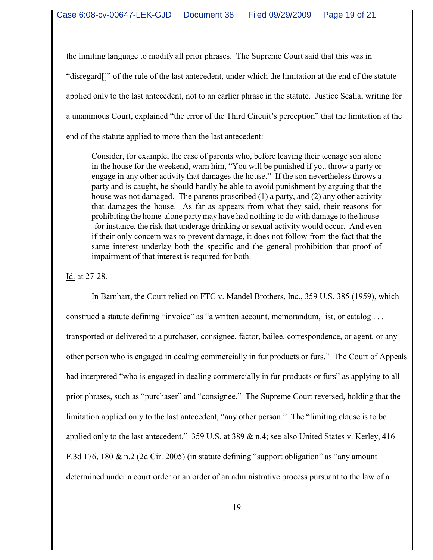the limiting language to modify all prior phrases. The Supreme Court said that this was in "disregard[]" of the rule of the last antecedent, under which the limitation at the end of the statute applied only to the last antecedent, not to an earlier phrase in the statute. Justice Scalia, writing for a unanimous Court, explained "the error of the Third Circuit's perception" that the limitation at the end of the statute applied to more than the last antecedent:

Consider, for example, the case of parents who, before leaving their teenage son alone in the house for the weekend, warn him, "You will be punished if you throw a party or engage in any other activity that damages the house." If the son nevertheless throws a party and is caught, he should hardly be able to avoid punishment by arguing that the house was not damaged. The parents proscribed (1) a party, and (2) any other activity that damages the house. As far as appears from what they said, their reasons for prohibiting the home-alone partymay have had nothing to do with damage to the house- -for instance, the risk that underage drinking or sexual activity would occur. And even if their only concern was to prevent damage, it does not follow from the fact that the same interest underlay both the specific and the general prohibition that proof of impairment of that interest is required for both.

Id. at 27-28.

In Barnhart, the Court relied on FTC v. Mandel Brothers, Inc., 359 U.S. 385 (1959), which construed a statute defining "invoice" as "a written account, memorandum, list, or catalog . . . transported or delivered to a purchaser, consignee, factor, bailee, correspondence, or agent, or any other person who is engaged in dealing commercially in fur products or furs." The Court of Appeals had interpreted "who is engaged in dealing commercially in fur products or furs" as applying to all prior phrases, such as "purchaser" and "consignee." The Supreme Court reversed, holding that the limitation applied only to the last antecedent, "any other person." The "limiting clause is to be applied only to the last antecedent." 359 U.S. at 389 & n.4; see also United States v. Kerley, 416 F.3d 176, 180 & n.2 (2d Cir. 2005) (in statute defining "support obligation" as "any amount determined under a court order or an order of an administrative process pursuant to the law of a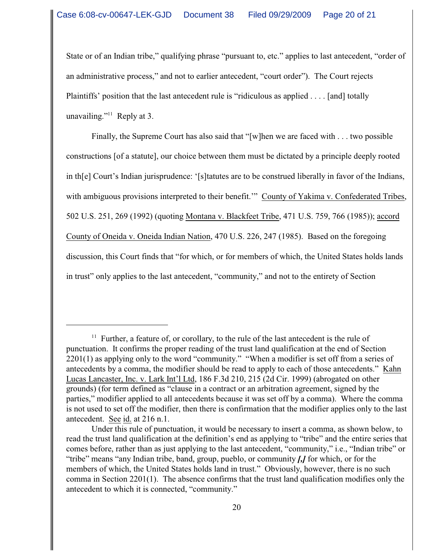State or of an Indian tribe," qualifying phrase "pursuant to, etc." applies to last antecedent, "order of an administrative process," and not to earlier antecedent, "court order"). The Court rejects Plaintiffs' position that the last antecedent rule is "ridiculous as applied . . . . [and] totally unavailing." $\frac{11}{11}$  Reply at 3.

Finally, the Supreme Court has also said that "[w]hen we are faced with . . . two possible constructions [of a statute], our choice between them must be dictated by a principle deeply rooted in th[e] Court's Indian jurisprudence: '[s]tatutes are to be construed liberally in favor of the Indians, with ambiguous provisions interpreted to their benefit." County of Yakima v. Confederated Tribes, 502 U.S. 251, 269 (1992) (quoting Montana v. Blackfeet Tribe, 471 U.S. 759, 766 (1985)); accord County of Oneida v. Oneida Indian Nation, 470 U.S. 226, 247 (1985). Based on the foregoing discussion, this Court finds that "for which, or for members of which, the United States holds lands in trust" only applies to the last antecedent, "community," and not to the entirety of Section

 $11$  Further, a feature of, or corollary, to the rule of the last antecedent is the rule of punctuation. It confirms the proper reading of the trust land qualification at the end of Section 2201(1) as applying only to the word "community." "When a modifier is set off from a series of antecedents by a comma, the modifier should be read to apply to each of those antecedents." Kahn Lucas Lancaster, Inc. v. Lark Int'l Ltd, 186 F.3d 210, 215 (2d Cir. 1999) (abrogated on other grounds) (for term defined as "clause in a contract or an arbitration agreement, signed by the parties," modifier applied to all antecedents because it was set off by a comma). Where the comma is not used to set off the modifier, then there is confirmation that the modifier applies only to the last antecedent. See id. at 216 n.1.

Under this rule of punctuation, it would be necessary to insert a comma, as shown below, to read the trust land qualification at the definition's end as applying to "tribe" and the entire series that comes before, rather than as just applying to the last antecedent, "community," i.e., "Indian tribe" or "tribe" means "any Indian tribe, band, group, pueblo, or community *[,]* for which, or for the members of which, the United States holds land in trust." Obviously, however, there is no such comma in Section 2201(1). The absence confirms that the trust land qualification modifies only the antecedent to which it is connected, "community."